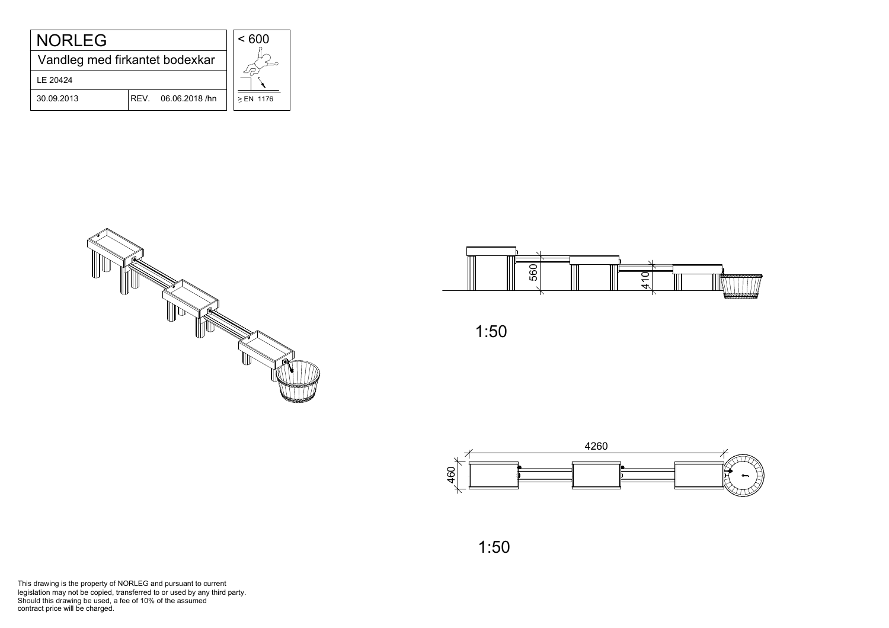| <b>NORLEG</b>                  |                     | < 600     |
|--------------------------------|---------------------|-----------|
| Vandleg med firkantet bodexkar |                     |           |
| LE 20424                       |                     |           |
| 30.09.2013                     | REV. 06.06.2018 /hn | ≥ EN 1176 |







This drawing is the property of NORLEG and pursuant to current<br>legislation may not be copied, transferred to or used by any third party. This drawing is the property of NORLEG and pursuant to c<br>legislation may not be copied, transferred to or used by an<br>Should this drawing be used, a fee of 10% of the assumed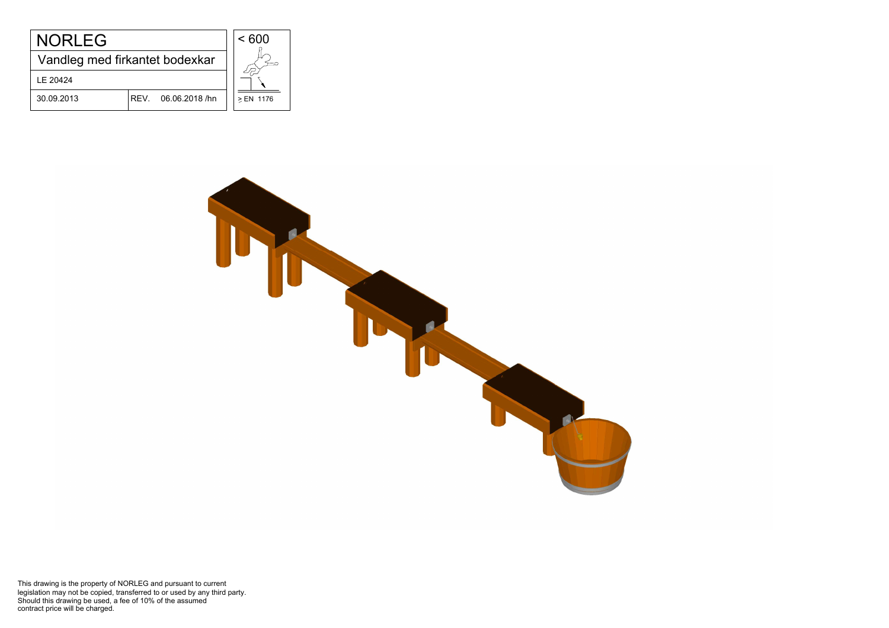| <b>NORLEG</b>                  |                        | < 600     |
|--------------------------------|------------------------|-----------|
| Vandleg med firkantet bodexkar |                        |           |
| LE 20424                       |                        |           |
| 30.09.2013                     | REV.<br>06.06.2018 /hn | ≥ EN 1176 |



This drawing is the property of NORLEG and pursuant to current<br>legislation may not be copied, transferred to or used by any third party. This drawing is the property of NORLEG and pursuant to c<br>legislation may not be copied, transferred to or used by an<br>Should this drawing be used, a fee of 10% of the assumed<br>contract price will be charged.